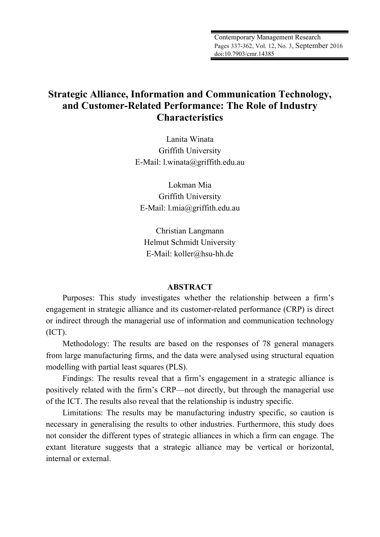# **Strategic Alliance, Information and Communication Technology, and Customer-Related Performance: The Role of Industry Characteristics**

Lanita Winata Griffith University E-Mail: l.winata@griffith.edu.au

Lokman Mia Griffith University E-Mail: l.mia@griffith.edu.au

Christian Langmann Helmut Schmidt University E-Mail: koller@hsu-hh.de

# **ABSTRACT**

Purposes: This study investigates whether the relationship between a firm's engagement in strategic alliance and its customer-related performance (CRP) is direct or indirect through the managerial use of information and communication technology (ICT).

Methodology: The results are based on the responses of 78 general managers from large manufacturing firms, and the data were analysed using structural equation modelling with partial least squares (PLS).

Findings: The results reveal that a firm's engagement in a strategic alliance is positively related with the firm's CRP—not directly, but through the managerial use of the ICT. The results also reveal that the relationship is industry specific.

Limitations: The results may be manufacturing industry specific, so caution is necessary in generalising the results to other industries. Furthermore, this study does not consider the different types of strategic alliances in which a firm can engage. The extant literature suggests that a strategic alliance may be vertical or horizontal, internal or external.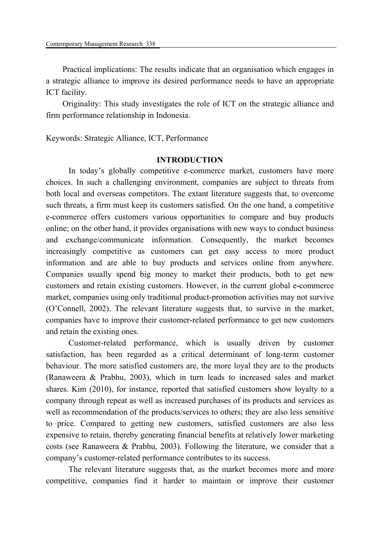Practical implications: The results indicate that an organisation which engages in a strategic alliance to improve its desired performance needs to have an appropriate ICT facility.

Originality: This study investigates the role of ICT on the strategic alliance and firm performance relationship in Indonesia.

# Keywords: Strategic Alliance, ICT, Performance

# **INTRODUCTION**

 In today's globally competitive e-commerce market, customers have more choices. In such a challenging environment, companies are subject to threats from both local and overseas competitors. The extant literature suggests that, to overcome such threats, a firm must keep its customers satisfied. On the one hand, a competitive e-commerce offers customers various opportunities to compare and buy products online; on the other hand, it provides organisations with new ways to conduct business and exchange/communicate information. Consequently, the market becomes increasingly competitive as customers can get easy access to more product information and are able to buy products and services online from anywhere. Companies usually spend big money to market their products, both to get new customers and retain existing customers. However, in the current global e-commerce market, companies using only traditional product-promotion activities may not survive (O'Connell, 2002). The relevant literature suggests that, to survive in the market, companies have to improve their customer-related performance to get new customers and retain the existing ones.

 Customer-related performance, which is usually driven by customer satisfaction, has been regarded as a critical determinant of long-term customer behaviour. The more satisfied customers are, the more loyal they are to the products (Ranaweera & Prabhu, 2003), which in turn leads to increased sales and market shares. Kim (2010), for instance, reported that satisfied customers show loyalty to a company through repeat as well as increased purchases of its products and services as well as recommendation of the products/services to others; they are also less sensitive to price. Compared to getting new customers, satisfied customers are also less expensive to retain, thereby generating financial benefits at relatively lower marketing costs (see Ranaweera & Prabhu, 2003). Following the literature, we consider that a company's customer-related performance contributes to its success.

 The relevant literature suggests that, as the market becomes more and more competitive, companies find it harder to maintain or improve their customer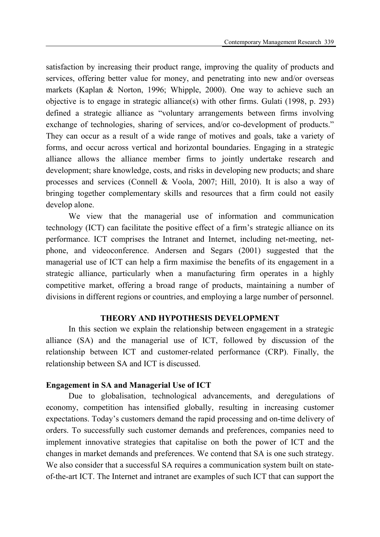satisfaction by increasing their product range, improving the quality of products and services, offering better value for money, and penetrating into new and/or overseas markets (Kaplan & Norton, 1996; Whipple, 2000). One way to achieve such an objective is to engage in strategic alliance(s) with other firms. Gulati (1998, p. 293) defined a strategic alliance as "voluntary arrangements between firms involving exchange of technologies, sharing of services, and/or co-development of products." They can occur as a result of a wide range of motives and goals, take a variety of forms, and occur across vertical and horizontal boundaries. Engaging in a strategic alliance allows the alliance member firms to jointly undertake research and development; share knowledge, costs, and risks in developing new products; and share processes and services (Connell & Voola, 2007; Hill, 2010). It is also a way of bringing together complementary skills and resources that a firm could not easily develop alone.

 We view that the managerial use of information and communication technology (ICT) can facilitate the positive effect of a firm's strategic alliance on its performance. ICT comprises the Intranet and Internet, including net-meeting, netphone, and videoconference. Andersen and Segars (2001) suggested that the managerial use of ICT can help a firm maximise the benefits of its engagement in a strategic alliance, particularly when a manufacturing firm operates in a highly competitive market, offering a broad range of products, maintaining a number of divisions in different regions or countries, and employing a large number of personnel.

# **THEORY AND HYPOTHESIS DEVELOPMENT**

 In this section we explain the relationship between engagement in a strategic alliance (SA) and the managerial use of ICT, followed by discussion of the relationship between ICT and customer-related performance (CRP). Finally, the relationship between SA and ICT is discussed.

# **Engagement in SA and Managerial Use of ICT**

 Due to globalisation, technological advancements, and deregulations of economy, competition has intensified globally, resulting in increasing customer expectations. Today's customers demand the rapid processing and on-time delivery of orders. To successfully such customer demands and preferences, companies need to implement innovative strategies that capitalise on both the power of ICT and the changes in market demands and preferences. We contend that SA is one such strategy. We also consider that a successful SA requires a communication system built on stateof-the-art ICT. The Internet and intranet are examples of such ICT that can support the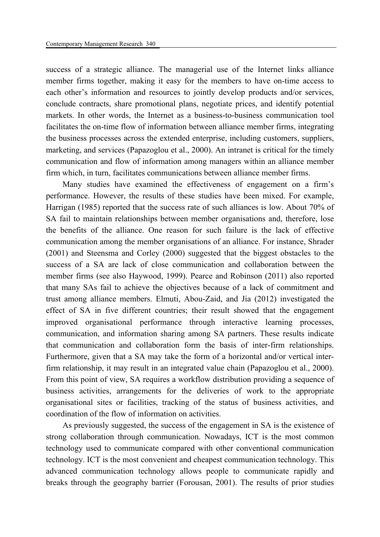success of a strategic alliance. The managerial use of the Internet links alliance member firms together, making it easy for the members to have on-time access to each other's information and resources to jointly develop products and/or services, conclude contracts, share promotional plans, negotiate prices, and identify potential markets. In other words, the Internet as a business-to-business communication tool facilitates the on-time flow of information between alliance member firms, integrating the business processes across the extended enterprise, including customers, suppliers, marketing, and services (Papazoglou et al., 2000). An intranet is critical for the timely communication and flow of information among managers within an alliance member firm which, in turn, facilitates communications between alliance member firms.

Many studies have examined the effectiveness of engagement on a firm's performance. However, the results of these studies have been mixed. For example, Harrigan (1985) reported that the success rate of such alliances is low. About 70% of SA fail to maintain relationships between member organisations and, therefore, lose the benefits of the alliance. One reason for such failure is the lack of effective communication among the member organisations of an alliance. For instance, Shrader (2001) and Steensma and Corley (2000) suggested that the biggest obstacles to the success of a SA are lack of close communication and collaboration between the member firms (see also Haywood, 1999). Pearce and Robinson (2011) also reported that many SAs fail to achieve the objectives because of a lack of commitment and trust among alliance members. Elmuti, Abou-Zaid, and Jia (2012) investigated the effect of SA in five different countries; their result showed that the engagement improved organisational performance through interactive learning processes, communication, and information sharing among SA partners. These results indicate that communication and collaboration form the basis of inter-firm relationships. Furthermore, given that a SA may take the form of a horizontal and/or vertical interfirm relationship, it may result in an integrated value chain (Papazoglou et al., 2000). From this point of view, SA requires a workflow distribution providing a sequence of business activities, arrangements for the deliveries of work to the appropriate organisational sites or facilities, tracking of the status of business activities, and coordination of the flow of information on activities.

As previously suggested, the success of the engagement in SA is the existence of strong collaboration through communication. Nowadays, ICT is the most common technology used to communicate compared with other conventional communication technology. ICT is the most convenient and cheapest communication technology. This advanced communication technology allows people to communicate rapidly and breaks through the geography barrier (Forousan, 2001). The results of prior studies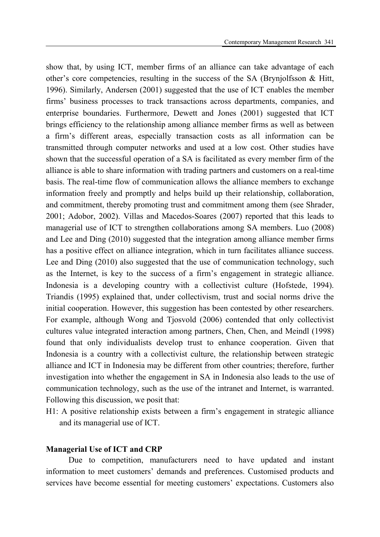show that, by using ICT, member firms of an alliance can take advantage of each other's core competencies, resulting in the success of the SA (Brynjolfsson & Hitt, 1996). Similarly, Andersen (2001) suggested that the use of ICT enables the member firms' business processes to track transactions across departments, companies, and enterprise boundaries. Furthermore, Dewett and Jones (2001) suggested that ICT brings efficiency to the relationship among alliance member firms as well as between a firm's different areas, especially transaction costs as all information can be transmitted through computer networks and used at a low cost. Other studies have shown that the successful operation of a SA is facilitated as every member firm of the alliance is able to share information with trading partners and customers on a real-time basis. The real-time flow of communication allows the alliance members to exchange information freely and promptly and helps build up their relationship, collaboration, and commitment, thereby promoting trust and commitment among them (see Shrader, 2001; Adobor, 2002). Villas and Macedos-Soares (2007) reported that this leads to managerial use of ICT to strengthen collaborations among SA members. Luo (2008) and Lee and Ding (2010) suggested that the integration among alliance member firms has a positive effect on alliance integration, which in turn facilitates alliance success. Lee and Ding (2010) also suggested that the use of communication technology, such as the Internet, is key to the success of a firm's engagement in strategic alliance. Indonesia is a developing country with a collectivist culture (Hofstede, 1994). Triandis (1995) explained that, under collectivism, trust and social norms drive the initial cooperation. However, this suggestion has been contested by other researchers. For example, although Wong and Tjosvold (2006) contended that only collectivist cultures value integrated interaction among partners, Chen, Chen, and Meindl (1998) found that only individualists develop trust to enhance cooperation. Given that Indonesia is a country with a collectivist culture, the relationship between strategic alliance and ICT in Indonesia may be different from other countries; therefore, further investigation into whether the engagement in SA in Indonesia also leads to the use of communication technology, such as the use of the intranet and Internet, is warranted. Following this discussion, we posit that:

H1: A positive relationship exists between a firm's engagement in strategic alliance and its managerial use of ICT.

#### **Managerial Use of ICT and CRP**

 Due to competition, manufacturers need to have updated and instant information to meet customers' demands and preferences. Customised products and services have become essential for meeting customers' expectations. Customers also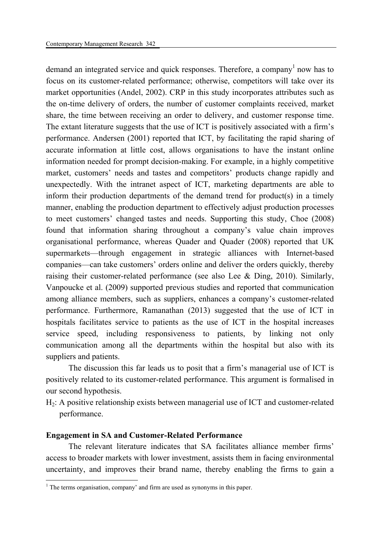demand an integrated service and quick responses. Therefore, a company<sup>1</sup> now has to focus on its customer-related performance; otherwise, competitors will take over its market opportunities (Andel, 2002). CRP in this study incorporates attributes such as the on-time delivery of orders, the number of customer complaints received, market share, the time between receiving an order to delivery, and customer response time. The extant literature suggests that the use of ICT is positively associated with a firm's performance. Andersen (2001) reported that ICT, by facilitating the rapid sharing of accurate information at little cost, allows organisations to have the instant online information needed for prompt decision-making. For example, in a highly competitive market, customers' needs and tastes and competitors' products change rapidly and unexpectedly. With the intranet aspect of ICT, marketing departments are able to inform their production departments of the demand trend for product(s) in a timely manner, enabling the production department to effectively adjust production processes to meet customers' changed tastes and needs. Supporting this study, Choe (2008) found that information sharing throughout a company's value chain improves organisational performance, whereas Quader and Quader (2008) reported that UK supermarkets—through engagement in strategic alliances with Internet-based companies—can take customers' orders online and deliver the orders quickly, thereby raising their customer-related performance (see also Lee & Ding, 2010). Similarly, Vanpoucke et al. (2009) supported previous studies and reported that communication among alliance members, such as suppliers, enhances a company's customer-related performance. Furthermore, Ramanathan (2013) suggested that the use of ICT in hospitals facilitates service to patients as the use of ICT in the hospital increases service speed, including responsiveness to patients, by linking not only communication among all the departments within the hospital but also with its suppliers and patients.

 The discussion this far leads us to posit that a firm's managerial use of ICT is positively related to its customer-related performance. This argument is formalised in our second hypothesis.

 $H<sub>2</sub>$ : A positive relationship exists between managerial use of ICT and customer-related performance.

# **Engagement in SA and Customer-Related Performance**

 The relevant literature indicates that SA facilitates alliance member firms' access to broader markets with lower investment, assists them in facing environmental uncertainty, and improves their brand name, thereby enabling the firms to gain a

<sup>&</sup>lt;sup>1</sup> The terms organisation, company' and firm are used as synonyms in this paper.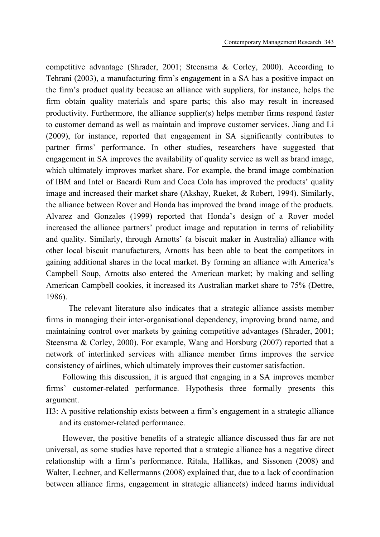competitive advantage (Shrader, 2001; Steensma & Corley, 2000). According to Tehrani (2003), a manufacturing firm's engagement in a SA has a positive impact on the firm's product quality because an alliance with suppliers, for instance, helps the firm obtain quality materials and spare parts; this also may result in increased productivity. Furthermore, the alliance supplier(s) helps member firms respond faster to customer demand as well as maintain and improve customer services. Jiang and Li (2009), for instance, reported that engagement in SA significantly contributes to partner firms' performance. In other studies, researchers have suggested that engagement in SA improves the availability of quality service as well as brand image, which ultimately improves market share. For example, the brand image combination of IBM and Intel or Bacardi Rum and Coca Cola has improved the products' quality image and increased their market share (Akshay, Rueket, & Robert, 1994). Similarly, the alliance between Rover and Honda has improved the brand image of the products. Alvarez and Gonzales (1999) reported that Honda's design of a Rover model increased the alliance partners' product image and reputation in terms of reliability and quality. Similarly, through Arnotts' (a biscuit maker in Australia) alliance with other local biscuit manufacturers, Arnotts has been able to beat the competitors in gaining additional shares in the local market. By forming an alliance with America's Campbell Soup, Arnotts also entered the American market; by making and selling American Campbell cookies, it increased its Australian market share to 75% (Dettre, 1986).

 The relevant literature also indicates that a strategic alliance assists member firms in managing their inter-organisational dependency, improving brand name, and maintaining control over markets by gaining competitive advantages (Shrader, 2001; Steensma & Corley, 2000). For example, Wang and Horsburg (2007) reported that a network of interlinked services with alliance member firms improves the service consistency of airlines, which ultimately improves their customer satisfaction.

Following this discussion, it is argued that engaging in a SA improves member firms' customer-related performance. Hypothesis three formally presents this argument.

H3: A positive relationship exists between a firm's engagement in a strategic alliance and its customer-related performance.

However, the positive benefits of a strategic alliance discussed thus far are not universal, as some studies have reported that a strategic alliance has a negative direct relationship with a firm's performance. Ritala, Hallikas, and Sissonen (2008) and Walter, Lechner, and Kellermanns (2008) explained that, due to a lack of coordination between alliance firms, engagement in strategic alliance(s) indeed harms individual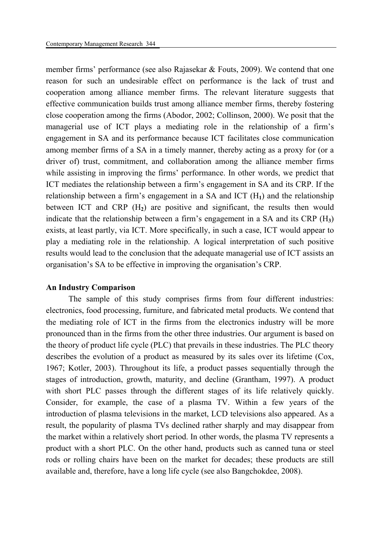member firms' performance (see also Rajasekar & Fouts, 2009). We contend that one reason for such an undesirable effect on performance is the lack of trust and cooperation among alliance member firms. The relevant literature suggests that effective communication builds trust among alliance member firms, thereby fostering close cooperation among the firms (Abodor, 2002; Collinson, 2000). We posit that the managerial use of ICT plays a mediating role in the relationship of a firm's engagement in SA and its performance because ICT facilitates close communication among member firms of a SA in a timely manner, thereby acting as a proxy for (or a driver of) trust, commitment, and collaboration among the alliance member firms while assisting in improving the firms' performance. In other words, we predict that ICT mediates the relationship between a firm's engagement in SA and its CRP. If the relationship between a firm's engagement in a SA and ICT (H**1**) and the relationship between ICT and CRP (H**2**) are positive and significant, the results then would indicate that the relationship between a firm's engagement in a SA and its CRP (H**3**) exists, at least partly, via ICT. More specifically, in such a case, ICT would appear to play a mediating role in the relationship. A logical interpretation of such positive results would lead to the conclusion that the adequate managerial use of ICT assists an organisation's SA to be effective in improving the organisation's CRP.

# **An Industry Comparison**

 The sample of this study comprises firms from four different industries: electronics, food processing, furniture, and fabricated metal products. We contend that the mediating role of ICT in the firms from the electronics industry will be more pronounced than in the firms from the other three industries. Our argument is based on the theory of product life cycle (PLC) that prevails in these industries. The PLC theory describes the evolution of a product as measured by its sales over its lifetime (Cox, 1967; Kotler, 2003). Throughout its life, a product passes sequentially through the stages of introduction, growth, maturity, and decline (Grantham, 1997). A product with short PLC passes through the different stages of its life relatively quickly. Consider, for example, the case of a plasma TV. Within a few years of the introduction of plasma televisions in the market, LCD televisions also appeared. As a result, the popularity of plasma TVs declined rather sharply and may disappear from the market within a relatively short period. In other words, the plasma TV represents a product with a short PLC. On the other hand, products such as canned tuna or steel rods or rolling chairs have been on the market for decades; these products are still available and, therefore, have a long life cycle (see also Bangchokdee, 2008).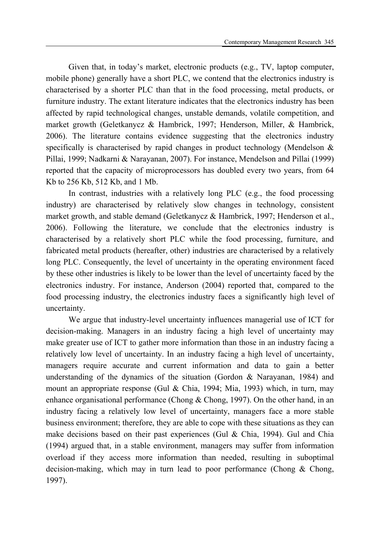Given that, in today's market, electronic products (e.g., TV, laptop computer, mobile phone) generally have a short PLC, we contend that the electronics industry is characterised by a shorter PLC than that in the food processing, metal products, or furniture industry. The extant literature indicates that the electronics industry has been affected by rapid technological changes, unstable demands, volatile competition, and market growth (Geletkanycz & Hambrick, 1997; Henderson, Miller, & Hambrick, 2006). The literature contains evidence suggesting that the electronics industry specifically is characterised by rapid changes in product technology (Mendelson & Pillai, 1999; Nadkarni & Narayanan, 2007). For instance, Mendelson and Pillai (1999) reported that the capacity of microprocessors has doubled every two years, from 64 Kb to 256 Kb, 512 Kb, and 1 Mb.

 In contrast, industries with a relatively long PLC (e.g., the food processing industry) are characterised by relatively slow changes in technology, consistent market growth, and stable demand (Geletkanycz & Hambrick, 1997; Henderson et al., 2006). Following the literature, we conclude that the electronics industry is characterised by a relatively short PLC while the food processing, furniture, and fabricated metal products (hereafter, other) industries are characterised by a relatively long PLC. Consequently, the level of uncertainty in the operating environment faced by these other industries is likely to be lower than the level of uncertainty faced by the electronics industry. For instance, Anderson (2004) reported that, compared to the food processing industry, the electronics industry faces a significantly high level of uncertainty.

 We argue that industry-level uncertainty influences managerial use of ICT for decision-making. Managers in an industry facing a high level of uncertainty may make greater use of ICT to gather more information than those in an industry facing a relatively low level of uncertainty. In an industry facing a high level of uncertainty, managers require accurate and current information and data to gain a better understanding of the dynamics of the situation (Gordon & Narayanan, 1984) and mount an appropriate response (Gul & Chia, 1994; Mia, 1993) which, in turn, may enhance organisational performance (Chong & Chong, 1997). On the other hand, in an industry facing a relatively low level of uncertainty, managers face a more stable business environment; therefore, they are able to cope with these situations as they can make decisions based on their past experiences (Gul & Chia, 1994). Gul and Chia (1994) argued that, in a stable environment, managers may suffer from information overload if they access more information than needed, resulting in suboptimal decision-making, which may in turn lead to poor performance (Chong & Chong, 1997).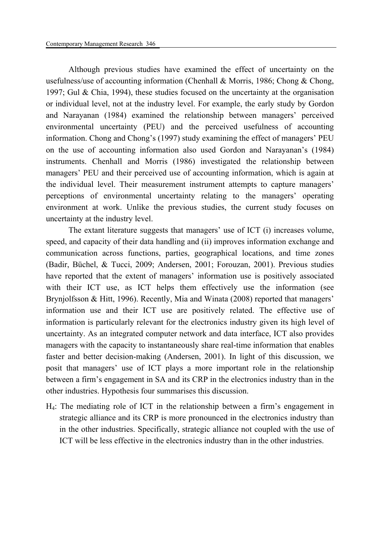Although previous studies have examined the effect of uncertainty on the usefulness/use of accounting information (Chenhall & Morris, 1986; Chong & Chong, 1997; Gul & Chia, 1994), these studies focused on the uncertainty at the organisation or individual level, not at the industry level. For example, the early study by Gordon and Narayanan (1984) examined the relationship between managers' perceived environmental uncertainty (PEU) and the perceived usefulness of accounting information. Chong and Chong's (1997) study examining the effect of managers' PEU on the use of accounting information also used Gordon and Narayanan's (1984) instruments. Chenhall and Morris (1986) investigated the relationship between managers' PEU and their perceived use of accounting information, which is again at the individual level. Their measurement instrument attempts to capture managers' perceptions of environmental uncertainty relating to the managers' operating environment at work. Unlike the previous studies, the current study focuses on uncertainty at the industry level.

 The extant literature suggests that managers' use of ICT (i) increases volume, speed, and capacity of their data handling and (ii) improves information exchange and communication across functions, parties, geographical locations, and time zones (Badir, Büchel, & Tucci, 2009; Andersen, 2001; Forouzan, 2001). Previous studies have reported that the extent of managers' information use is positively associated with their ICT use, as ICT helps them effectively use the information (see Brynjolfsson & Hitt, 1996). Recently, Mia and Winata (2008) reported that managers' information use and their ICT use are positively related. The effective use of information is particularly relevant for the electronics industry given its high level of uncertainty. As an integrated computer network and data interface, ICT also provides managers with the capacity to instantaneously share real-time information that enables faster and better decision-making (Andersen, 2001). In light of this discussion, we posit that managers' use of ICT plays a more important role in the relationship between a firm's engagement in SA and its CRP in the electronics industry than in the other industries. Hypothesis four summarises this discussion.

H4: The mediating role of ICT in the relationship between a firm's engagement in strategic alliance and its CRP is more pronounced in the electronics industry than in the other industries. Specifically, strategic alliance not coupled with the use of ICT will be less effective in the electronics industry than in the other industries.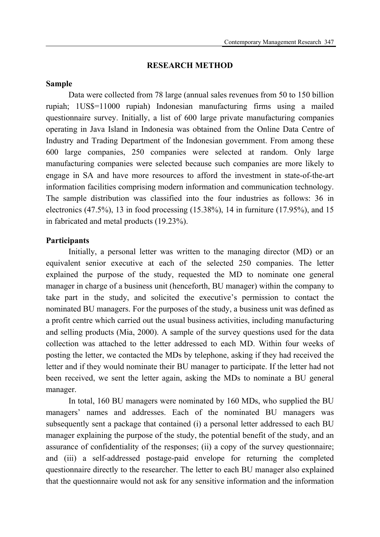# **RESEARCH METHOD**

#### **Sample**

 Data were collected from 78 large (annual sales revenues from 50 to 150 billion rupiah; 1US\$=11000 rupiah) Indonesian manufacturing firms using a mailed questionnaire survey. Initially, a list of 600 large private manufacturing companies operating in Java Island in Indonesia was obtained from the Online Data Centre of Industry and Trading Department of the Indonesian government. From among these 600 large companies, 250 companies were selected at random. Only large manufacturing companies were selected because such companies are more likely to engage in SA and have more resources to afford the investment in state-of-the-art information facilities comprising modern information and communication technology. The sample distribution was classified into the four industries as follows: 36 in electronics (47.5%), 13 in food processing (15.38%), 14 in furniture (17.95%), and 15 in fabricated and metal products (19.23%).

# **Participants**

 Initially, a personal letter was written to the managing director (MD) or an equivalent senior executive at each of the selected 250 companies. The letter explained the purpose of the study, requested the MD to nominate one general manager in charge of a business unit (henceforth, BU manager) within the company to take part in the study, and solicited the executive's permission to contact the nominated BU managers. For the purposes of the study, a business unit was defined as a profit centre which carried out the usual business activities, including manufacturing and selling products (Mia, 2000). A sample of the survey questions used for the data collection was attached to the letter addressed to each MD. Within four weeks of posting the letter, we contacted the MDs by telephone, asking if they had received the letter and if they would nominate their BU manager to participate. If the letter had not been received, we sent the letter again, asking the MDs to nominate a BU general manager.

 In total, 160 BU managers were nominated by 160 MDs, who supplied the BU managers' names and addresses. Each of the nominated BU managers was subsequently sent a package that contained (i) a personal letter addressed to each BU manager explaining the purpose of the study, the potential benefit of the study, and an assurance of confidentiality of the responses; (ii) a copy of the survey questionnaire; and (iii) a self-addressed postage-paid envelope for returning the completed questionnaire directly to the researcher. The letter to each BU manager also explained that the questionnaire would not ask for any sensitive information and the information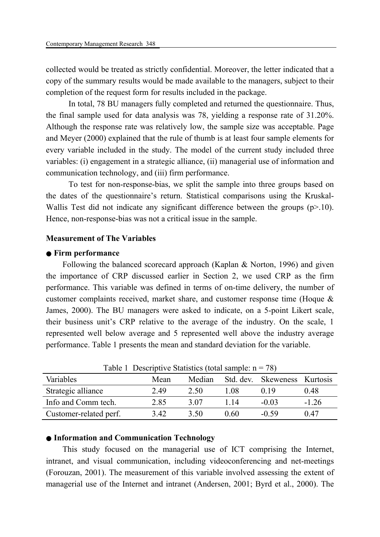collected would be treated as strictly confidential. Moreover, the letter indicated that a copy of the summary results would be made available to the managers, subject to their completion of the request form for results included in the package.

 In total, 78 BU managers fully completed and returned the questionnaire. Thus, the final sample used for data analysis was 78, yielding a response rate of 31.20%. Although the response rate was relatively low, the sample size was acceptable. Page and Meyer (2000) explained that the rule of thumb is at least four sample elements for every variable included in the study. The model of the current study included three variables: (i) engagement in a strategic alliance, (ii) managerial use of information and communication technology, and (iii) firm performance.

 To test for non-response-bias, we split the sample into three groups based on the dates of the questionnaire's return. Statistical comparisons using the Kruskal-Wallis Test did not indicate any significant difference between the groups (p>.10). Hence, non-response-bias was not a critical issue in the sample.

# **Measurement of The Variables**

#### ● **Firm performance**

Following the balanced scorecard approach (Kaplan & Norton, 1996) and given the importance of CRP discussed earlier in Section 2, we used CRP as the firm performance. This variable was defined in terms of on-time delivery, the number of customer complaints received, market share, and customer response time (Hoque & James, 2000). The BU managers were asked to indicate, on a 5-point Likert scale, their business unit's CRP relative to the average of the industry. On the scale, 1 represented well below average and 5 represented well above the industry average performance. Table 1 presents the mean and standard deviation for the variable.

| Table 1 Descriptive Blatistics (total sample: II |      |        |      |                              |         |  |
|--------------------------------------------------|------|--------|------|------------------------------|---------|--|
| Variables                                        | Mean | Median |      | Std. dev. Skeweness Kurtosis |         |  |
| Strategic alliance                               | 2.49 | 2.50   | .08  | 0.19                         | 0.48    |  |
| Info and Comm tech.                              | 2.85 | 3.07   | -14  | $-0.03$                      | $-1.26$ |  |
| Customer-related perf.                           | 3.42 | 3.50   | 0.60 | -0.59                        | 0.47    |  |

Table 1 Descriptive Statistics (total sample:  $n = 78$ )

# ● **Information and Communication Technology**

This study focused on the managerial use of ICT comprising the Internet, intranet, and visual communication, including videoconferencing and net-meetings (Forouzan, 2001). The measurement of this variable involved assessing the extent of managerial use of the Internet and intranet (Andersen, 2001; Byrd et al., 2000). The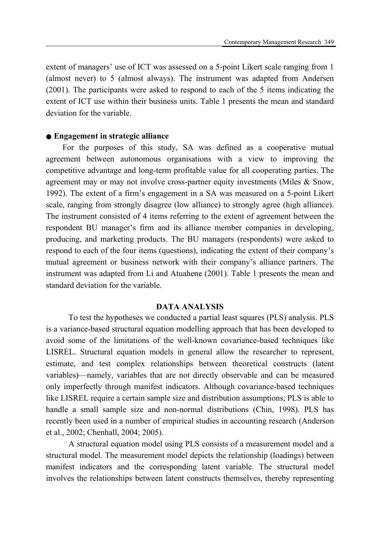extent of managers' use of ICT was assessed on a 5-point Likert scale ranging from 1 (almost never) to 5 (almost always). The instrument was adapted from Andersen (2001). The participants were asked to respond to each of the 5 items indicating the extent of ICT use within their business units. Table 1 presents the mean and standard deviation for the variable.

# ● **Engagement in strategic alliance**

For the purposes of this study, SA was defined as a cooperative mutual agreement between autonomous organisations with a view to improving the competitive advantage and long-term profitable value for all cooperating parties. The agreement may or may not involve cross-partner equity investments (Miles & Snow, 1992). The extent of a firm's engagement in a SA was measured on a 5-point Likert scale, ranging from strongly disagree (low alliance) to strongly agree (high alliance). The instrument consisted of 4 items referring to the extent of agreement between the respondent BU manager's firm and its alliance member companies in developing, producing, and marketing products. The BU managers (respondents) were asked to respond to each of the four items (questions), indicating the extent of their company's mutual agreement or business network with their company's alliance partners. The instrument was adapted from Li and Atuahene (2001). Table 1 presents the mean and standard deviation for the variable.

## **DATA ANALYSIS**

 To test the hypotheses we conducted a partial least squares (PLS) analysis. PLS is a variance-based structural equation modelling approach that has been developed to avoid some of the limitations of the well-known covariance-based techniques like LISREL. Structural equation models in general allow the researcher to represent, estimate, and test complex relationships between theoretical constructs (latent variables)—namely, variables that are not directly observable and can be measured only imperfectly through manifest indicators. Although covariance-based techniques like LISREL require a certain sample size and distribution assumptions, PLS is able to handle a small sample size and non-normal distributions (Chin, 1998). PLS has recently been used in a number of empirical studies in accounting research (Anderson et al., 2002; Chenhall, 2004; 2005).

 A structural equation model using PLS consists of a measurement model and a structural model. The measurement model depicts the relationship (loadings) between manifest indicators and the corresponding latent variable. The structural model involves the relationships between latent constructs themselves, thereby representing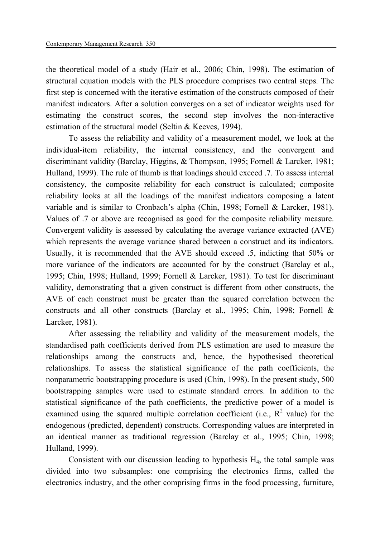the theoretical model of a study (Hair et al., 2006; Chin, 1998). The estimation of structural equation models with the PLS procedure comprises two central steps. The first step is concerned with the iterative estimation of the constructs composed of their manifest indicators. After a solution converges on a set of indicator weights used for estimating the construct scores, the second step involves the non-interactive estimation of the structural model (Seltin & Keeves, 1994).

 To assess the reliability and validity of a measurement model, we look at the individual-item reliability, the internal consistency, and the convergent and discriminant validity (Barclay, Higgins, & Thompson, 1995; Fornell & Larcker, 1981; Hulland, 1999). The rule of thumb is that loadings should exceed .7. To assess internal consistency, the composite reliability for each construct is calculated; composite reliability looks at all the loadings of the manifest indicators composing a latent variable and is similar to Cronbach's alpha (Chin, 1998; Fornell & Larcker, 1981). Values of .7 or above are recognised as good for the composite reliability measure. Convergent validity is assessed by calculating the average variance extracted (AVE) which represents the average variance shared between a construct and its indicators. Usually, it is recommended that the AVE should exceed .5, indicting that 50% or more variance of the indicators are accounted for by the construct (Barclay et al., 1995; Chin, 1998; Hulland, 1999; Fornell & Larcker, 1981). To test for discriminant validity, demonstrating that a given construct is different from other constructs, the AVE of each construct must be greater than the squared correlation between the constructs and all other constructs (Barclay et al., 1995; Chin, 1998; Fornell & Larcker, 1981).

 After assessing the reliability and validity of the measurement models, the standardised path coefficients derived from PLS estimation are used to measure the relationships among the constructs and, hence, the hypothesised theoretical relationships. To assess the statistical significance of the path coefficients, the nonparametric bootstrapping procedure is used (Chin, 1998). In the present study, 500 bootstrapping samples were used to estimate standard errors. In addition to the statistical significance of the path coefficients, the predictive power of a model is examined using the squared multiple correlation coefficient (i.e.,  $R^2$  value) for the endogenous (predicted, dependent) constructs. Corresponding values are interpreted in an identical manner as traditional regression (Barclay et al., 1995; Chin, 1998; Hulland, 1999).

Consistent with our discussion leading to hypothesis  $H_4$ , the total sample was divided into two subsamples: one comprising the electronics firms, called the electronics industry, and the other comprising firms in the food processing, furniture,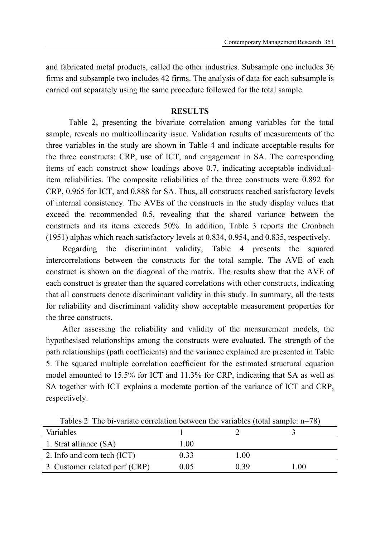and fabricated metal products, called the other industries. Subsample one includes 36 firms and subsample two includes 42 firms. The analysis of data for each subsample is carried out separately using the same procedure followed for the total sample.

## **RESULTS**

 Table 2, presenting the bivariate correlation among variables for the total sample, reveals no multicollinearity issue. Validation results of measurements of the three variables in the study are shown in Table 4 and indicate acceptable results for the three constructs: CRP, use of ICT, and engagement in SA. The corresponding items of each construct show loadings above 0.7, indicating acceptable individualitem reliabilities. The composite reliabilities of the three constructs were 0.892 for CRP, 0.965 for ICT, and 0.888 for SA. Thus, all constructs reached satisfactory levels of internal consistency. The AVEs of the constructs in the study display values that exceed the recommended 0.5, revealing that the shared variance between the constructs and its items exceeds 50%. In addition, Table 3 reports the Cronbach (1951) alphas which reach satisfactory levels at 0.834, 0.954, and 0.835, respectively.

Regarding the discriminant validity, Table 4 presents the squared intercorrelations between the constructs for the total sample. The AVE of each construct is shown on the diagonal of the matrix. The results show that the AVE of each construct is greater than the squared correlations with other constructs, indicating that all constructs denote discriminant validity in this study. In summary, all the tests for reliability and discriminant validity show acceptable measurement properties for the three constructs.

After assessing the reliability and validity of the measurement models, the hypothesised relationships among the constructs were evaluated. The strength of the path relationships (path coefficients) and the variance explained are presented in Table 5. The squared multiple correlation coefficient for the estimated structural equation model amounted to 15.5% for ICT and 11.3% for CRP, indicating that SA as well as SA together with ICT explains a moderate portion of the variance of ICT and CRP, respectively.

| $100100 \pm 111001$ variate correlation between the variables total sample. If $101$ |      |      |     |
|--------------------------------------------------------------------------------------|------|------|-----|
| Variables                                                                            |      |      |     |
| 1. Strat alliance (SA)                                                               | .00  |      |     |
| 2. Info and com tech (ICT)                                                           | 0.33 | .00  |     |
| 3. Customer related perf (CRP)                                                       | 0.05 | N 39 | .00 |

Tables 2 The bi-variate correlation between the variables (total sample: n=78)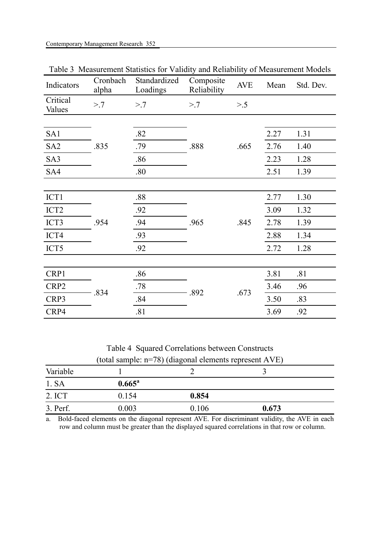| Indicators         | Cronbach<br>alpha | Standardized<br>Loadings | Composite<br>Reliability | <b>AVE</b> | Mean | Std. Dev. |
|--------------------|-------------------|--------------------------|--------------------------|------------|------|-----------|
| Critical<br>Values | > 7               | > 7                      | > 7                      | $> 0.5$    |      |           |
|                    |                   |                          |                          |            |      |           |
| SA1                |                   | .82                      |                          |            | 2.27 | 1.31      |
| SA <sub>2</sub>    | .835              | .79                      | .888                     | .665       | 2.76 | 1.40      |
| SA3                |                   | .86                      |                          |            | 2.23 | 1.28      |
| SA4                |                   | .80                      |                          |            | 2.51 | 1.39      |
|                    |                   |                          |                          |            |      |           |
| ICT1               |                   | .88                      |                          |            | 2.77 | 1.30      |
| ICT <sub>2</sub>   |                   | .92                      | .965                     | .845       | 3.09 | 1.32      |
| ICT3               | .954              | .94                      |                          |            | 2.78 | 1.39      |
| ICT4               |                   | .93                      |                          |            | 2.88 | 1.34      |
| ICT5               |                   | .92                      |                          |            | 2.72 | 1.28      |
|                    |                   |                          |                          |            |      |           |
| CRP1               | .834              | .86                      | .892                     |            | 3.81 | .81       |
| CRP2               |                   | .78                      |                          |            | 3.46 | .96       |
| CRP3               |                   | .84                      |                          | .673       | 3.50 | .83       |
| CRP4               |                   | .81                      |                          |            | 3.69 | .92       |

Table 3 Measurement Statistics for Validity and Reliability of Measurement Models

Table 4 Squared Correlations between Constructs (total sample: n=78) (diagonal elements represent AVE)

|          |                 | ັ     |       |  |
|----------|-----------------|-------|-------|--|
| Variable |                 |       |       |  |
| 1. SA    | $0.665^{\rm a}$ |       |       |  |
| 2. ICT   | 0.154           | 0.854 |       |  |
| 3. Perf. | 0.003           | 0.106 | 0.673 |  |
|          |                 |       |       |  |

a. Bold-faced elements on the diagonal represent AVE. For discriminant validity, the AVE in each row and column must be greater than the displayed squared correlations in that row or column.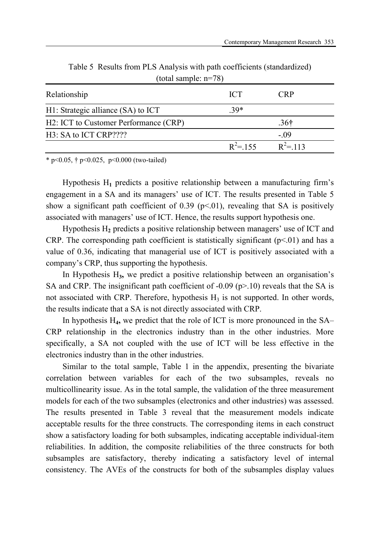| total satilities. $II = 70$           |             |                  |  |  |  |
|---------------------------------------|-------------|------------------|--|--|--|
| Relationship                          | <b>ICT</b>  | CRP              |  |  |  |
| H1: Strategic alliance (SA) to ICT    | $.39*$      |                  |  |  |  |
| H2: ICT to Customer Performance (CRP) |             | .36 <sup>†</sup> |  |  |  |
| H3: SA to ICT CRP????                 |             | $-.09$           |  |  |  |
|                                       | $R^2 = 155$ | $R^2$ = 113      |  |  |  |

Table 5 Results from PLS Analysis with path coefficients (standardized)  $(tot_{\alpha})$  sample:  $n=78$ )

\* p<0.05,  $\dagger$  p<0.025, p<0.000 (two-tailed)

Hypothesis H**1** predicts a positive relationship between a manufacturing firm's engagement in a SA and its managers' use of ICT. The results presented in Table 5 show a significant path coefficient of 0.39 ( $p<0$ 1), revealing that SA is positively associated with managers' use of ICT. Hence, the results support hypothesis one.

Hypothesis H**2** predicts a positive relationship between managers' use of ICT and CRP. The corresponding path coefficient is statistically significant  $(p<01)$  and has a value of 0.36, indicating that managerial use of ICT is positively associated with a company's CRP, thus supporting the hypothesis.

In Hypothesis H**3,** we predict a positive relationship between an organisation's SA and CRP. The insignificant path coefficient of  $-0.09$  (p $>10$ ) reveals that the SA is not associated with CRP. Therefore, hypothesis  $H_3$  is not supported. In other words, the results indicate that a SA is not directly associated with CRP.

In hypothesis H<sub>4</sub>, we predict that the role of ICT is more pronounced in the SA– CRP relationship in the electronics industry than in the other industries. More specifically, a SA not coupled with the use of ICT will be less effective in the electronics industry than in the other industries.

Similar to the total sample, Table 1 in the appendix, presenting the bivariate correlation between variables for each of the two subsamples, reveals no multicollinearity issue. As in the total sample, the validation of the three measurement models for each of the two subsamples (electronics and other industries) was assessed. The results presented in Table 3 reveal that the measurement models indicate acceptable results for the three constructs. The corresponding items in each construct show a satisfactory loading for both subsamples, indicating acceptable individual-item reliabilities. In addition, the composite reliabilities of the three constructs for both subsamples are satisfactory, thereby indicating a satisfactory level of internal consistency. The AVEs of the constructs for both of the subsamples display values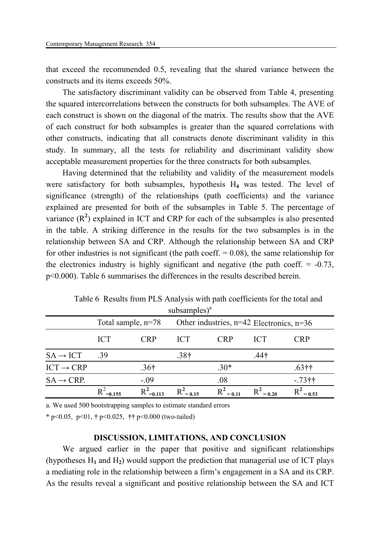that exceed the recommended 0.5, revealing that the shared variance between the constructs and its items exceeds 50%.

The satisfactory discriminant validity can be observed from Table 4, presenting the squared intercorrelations between the constructs for both subsamples. The AVE of each construct is shown on the diagonal of the matrix. The results show that the AVE of each construct for both subsamples is greater than the squared correlations with other constructs, indicating that all constructs denote discriminant validity in this study. In summary, all the tests for reliability and discriminant validity show acceptable measurement properties for the three constructs for both subsamples.

Having determined that the reliability and validity of the measurement models were satisfactory for both subsamples, hypothesis H<sub>4</sub> was tested. The level of significance (strength) of the relationships (path coefficients) and the variance explained are presented for both of the subsamples in Table 5. The percentage of variance  $(R^2)$  explained in ICT and CRP for each of the subsamples is also presented in the table. A striking difference in the results for the two subsamples is in the relationship between SA and CRP. Although the relationship between SA and CRP for other industries is not significant (the path coeff.  $= 0.08$ ), the same relationship for the electronics industry is highly significant and negative (the path coeff.  $= -0.73$ , p<0.000). Table 6 summarises the differences in the results described herein.

|                        |                      |                         | subsamples)                                  |              |            |            |
|------------------------|----------------------|-------------------------|----------------------------------------------|--------------|------------|------------|
|                        | Total sample, $n=78$ |                         | Other industries, $n=42$ Electronics, $n=36$ |              |            |            |
|                        | <b>ICT</b>           | <b>CRP</b>              | <b>ICT</b>                                   | <b>CRP</b>   | <b>ICT</b> | <b>CRP</b> |
| $SA \rightarrow ICT$   | .39                  |                         | .38 <sup>†</sup>                             |              | .44†       |            |
| $ICT \rightarrow CRP$  |                      | .36 <sup>†</sup>        |                                              | $.30*$       |            | .63††      |
| $SA \rightarrow CRP$ . |                      | $-.09$                  |                                              | .08          |            | $-73$ ††   |
|                        | $R^2$<br>$=0.155$    | $R^2$ <sub>=0.113</sub> | $R^2$ = 0.15                                 | $R^2 = 0.11$ | $= 0.20$   | $= 0.53$   |

Table 6 Results from PLS Analysis with path coefficients for the total and subsamples $)^a$ 

a. We used 500 bootstrapping samples to estimate standard errors

\* p<0.05, p<01, **†** p<0.025, **††** p<0.000 (two-tailed)

# **DISCUSSION, LIMITATIONS, AND CONCLUSION**

We argued earlier in the paper that positive and significant relationships (hypotheses H**1** and H**2**) would support the prediction that managerial use of ICT plays a mediating role in the relationship between a firm's engagement in a SA and its CRP. As the results reveal a significant and positive relationship between the SA and ICT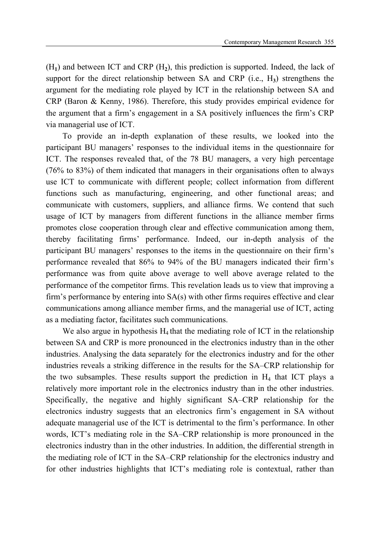(H**1**) and between ICT and CRP (H**2**), this prediction is supported. Indeed, the lack of support for the direct relationship between SA and CRP (i.e., H**3**) strengthens the argument for the mediating role played by ICT in the relationship between SA and CRP (Baron & Kenny, 1986). Therefore, this study provides empirical evidence for the argument that a firm's engagement in a SA positively influences the firm's CRP via managerial use of ICT.

To provide an in-depth explanation of these results, we looked into the participant BU managers' responses to the individual items in the questionnaire for ICT. The responses revealed that, of the 78 BU managers, a very high percentage (76% to 83%) of them indicated that managers in their organisations often to always use ICT to communicate with different people; collect information from different functions such as manufacturing, engineering, and other functional areas; and communicate with customers, suppliers, and alliance firms. We contend that such usage of ICT by managers from different functions in the alliance member firms promotes close cooperation through clear and effective communication among them, thereby facilitating firms' performance. Indeed, our in-depth analysis of the participant BU managers' responses to the items in the questionnaire on their firm's performance revealed that 86% to 94% of the BU managers indicated their firm's performance was from quite above average to well above average related to the performance of the competitor firms. This revelation leads us to view that improving a firm's performance by entering into SA(s) with other firms requires effective and clear communications among alliance member firms, and the managerial use of ICT, acting as a mediating factor, facilitates such communications.

We also argue in hypothesis  $H_4$  that the mediating role of ICT in the relationship between SA and CRP is more pronounced in the electronics industry than in the other industries. Analysing the data separately for the electronics industry and for the other industries reveals a striking difference in the results for the SA–CRP relationship for the two subsamples. These results support the prediction in  $H_4$  that ICT plays a relatively more important role in the electronics industry than in the other industries. Specifically, the negative and highly significant SA–CRP relationship for the electronics industry suggests that an electronics firm's engagement in SA without adequate managerial use of the ICT is detrimental to the firm's performance. In other words, ICT's mediating role in the SA–CRP relationship is more pronounced in the electronics industry than in the other industries. In addition, the differential strength in the mediating role of ICT in the SA–CRP relationship for the electronics industry and for other industries highlights that ICT's mediating role is contextual, rather than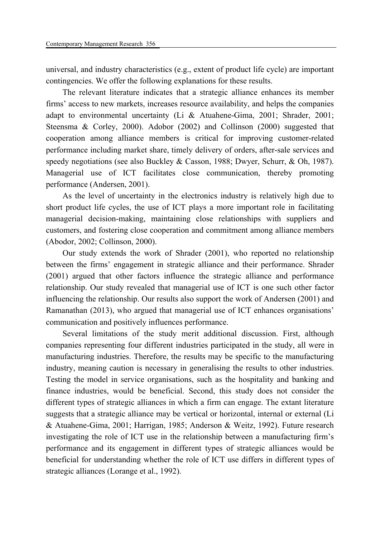universal, and industry characteristics (e.g., extent of product life cycle) are important contingencies. We offer the following explanations for these results.

The relevant literature indicates that a strategic alliance enhances its member firms' access to new markets, increases resource availability, and helps the companies adapt to environmental uncertainty (Li & Atuahene-Gima, 2001; Shrader, 2001; Steensma & Corley, 2000). Adobor (2002) and Collinson (2000) suggested that cooperation among alliance members is critical for improving customer-related performance including market share, timely delivery of orders, after-sale services and speedy negotiations (see also Buckley & Casson, 1988; Dwyer, Schurr, & Oh, 1987). Managerial use of ICT facilitates close communication, thereby promoting performance (Andersen, 2001).

As the level of uncertainty in the electronics industry is relatively high due to short product life cycles, the use of ICT plays a more important role in facilitating managerial decision-making, maintaining close relationships with suppliers and customers, and fostering close cooperation and commitment among alliance members (Abodor, 2002; Collinson, 2000).

Our study extends the work of Shrader (2001), who reported no relationship between the firms' engagement in strategic alliance and their performance. Shrader (2001) argued that other factors influence the strategic alliance and performance relationship. Our study revealed that managerial use of ICT is one such other factor influencing the relationship. Our results also support the work of Andersen (2001) and Ramanathan (2013), who argued that managerial use of ICT enhances organisations' communication and positively influences performance.

Several limitations of the study merit additional discussion. First, although companies representing four different industries participated in the study, all were in manufacturing industries. Therefore, the results may be specific to the manufacturing industry, meaning caution is necessary in generalising the results to other industries. Testing the model in service organisations, such as the hospitality and banking and finance industries, would be beneficial. Second, this study does not consider the different types of strategic alliances in which a firm can engage. The extant literature suggests that a strategic alliance may be vertical or horizontal, internal or external (Li & Atuahene-Gima, 2001; Harrigan, 1985; Anderson & Weitz, 1992). Future research investigating the role of ICT use in the relationship between a manufacturing firm's performance and its engagement in different types of strategic alliances would be beneficial for understanding whether the role of ICT use differs in different types of strategic alliances (Lorange et al., 1992).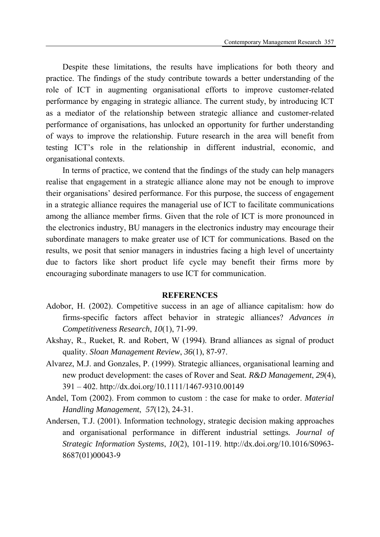Despite these limitations, the results have implications for both theory and practice. The findings of the study contribute towards a better understanding of the role of ICT in augmenting organisational efforts to improve customer-related performance by engaging in strategic alliance. The current study, by introducing ICT as a mediator of the relationship between strategic alliance and customer-related performance of organisations, has unlocked an opportunity for further understanding of ways to improve the relationship. Future research in the area will benefit from testing ICT's role in the relationship in different industrial, economic, and organisational contexts.

In terms of practice, we contend that the findings of the study can help managers realise that engagement in a strategic alliance alone may not be enough to improve their organisations' desired performance. For this purpose, the success of engagement in a strategic alliance requires the managerial use of ICT to facilitate communications among the alliance member firms. Given that the role of ICT is more pronounced in the electronics industry, BU managers in the electronics industry may encourage their subordinate managers to make greater use of ICT for communications. Based on the results, we posit that senior managers in industries facing a high level of uncertainty due to factors like short product life cycle may benefit their firms more by encouraging subordinate managers to use ICT for communication.

#### **REFERENCES**

- Adobor, H. (2002). Competitive success in an age of alliance capitalism: how do firms-specific factors affect behavior in strategic alliances? *Advances in Competitiveness Research*, *10*(1), 71-99.
- Akshay, R., Rueket, R. and Robert, W (1994). Brand alliances as signal of product quality. *Sloan Management Review*, *36*(1), 87-97.
- Alvarez, M.J. and Gonzales, P. (1999). Strategic alliances, organisational learning and new product development: the cases of Rover and Seat*. R&D Management*, *29*(4), 391 – 402. http://dx.doi.org/10.1111/1467-9310.00149
- Andel, Tom (2002). From common to custom : the case for make to order. *Material Handling Management*, *57*(12), 24-31.
- Andersen, T.J. (2001). Information technology, strategic decision making approaches and organisational performance in different industrial settings*. Journal of Strategic Information Systems*, *10*(2), 101-119. http://dx.doi.org/10.1016/S0963- 8687(01)00043-9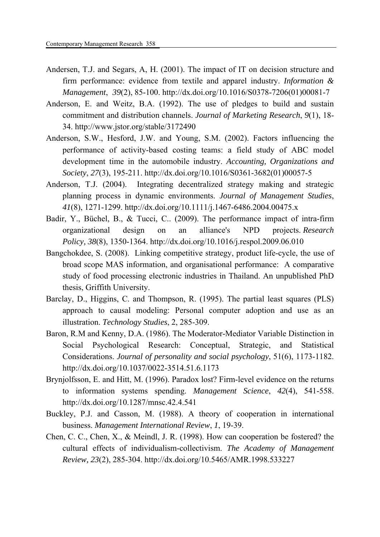- Andersen, T.J. and Segars, A, H. (2001). The impact of IT on decision structure and firm performance: evidence from textile and apparel industry. *Information & Management*, *39*(2), 85-100. http://dx.doi.org/10.1016/S0378-7206(01)00081-7
- Anderson, E. and Weitz, B.A. (1992). The use of pledges to build and sustain commitment and distribution channels. *Journal of Marketing Research*, *9*(1), 18- 34. http://www.jstor.org/stable/3172490
- Anderson, S.W., Hesford, J.W. and Young, S.M. (2002). Factors influencing the performance of activity-based costing teams: a field study of ABC model development time in the automobile industry. *Accounting, Organizations and Society*, *27*(3), 195-211. http://dx.doi.org/10.1016/S0361-3682(01)00057-5
- Anderson, T.J. (2004). Integrating decentralized strategy making and strategic planning process in dynamic environments. *Journal of Management Studies*, *41*(8), 1271-1299. http://dx.doi.org/10.1111/j.1467-6486.2004.00475.x
- Badir, Y., Büchel, B., & Tucci, C.. (2009). The performance impact of intra-firm organizational design on an alliance's NPD projects. *Research Policy, 38*(8), 1350-1364. http://dx.doi.org/10.1016/j.respol.2009.06.010
- Bangchokdee, S. (2008). Linking competitive strategy, product life-cycle, the use of broad scope MAS information, and organisational performance: A comparative study of food processing electronic industries in Thailand. An unpublished PhD thesis, Griffith University.
- Barclay, D., Higgins, C. and Thompson, R. (1995). The partial least squares (PLS) approach to causal modeling: Personal computer adoption and use as an illustration. *Technology Studies*, 2, 285-309.
- Baron, R.M and Kenny, D.A. (1986). The Moderator-Mediator Variable Distinction in Social Psychological Research: Conceptual, Strategic, and Statistical Considerations. *Journal of personality and social psychology*, 51(6), 1173-1182. http://dx.doi.org/10.1037/0022-3514.51.6.1173
- Brynjolfsson, E. and Hitt, M. (1996). Paradox lost? Firm-level evidence on the returns to information systems spending. *Management Science*, *42*(4), 541-558. http://dx.doi.org/10.1287/mnsc.42.4.541
- Buckley, P.J. and Casson, M. (1988). A theory of cooperation in international business. *Management International Review*, *1*, 19-39.
- Chen, C. C., Chen, X., & Meindl, J. R. (1998). How can cooperation be fostered? the cultural effects of individualism-collectivism. *The Academy of Management Review, 23*(2), 285-304. http://dx.doi.org/10.5465/AMR.1998.533227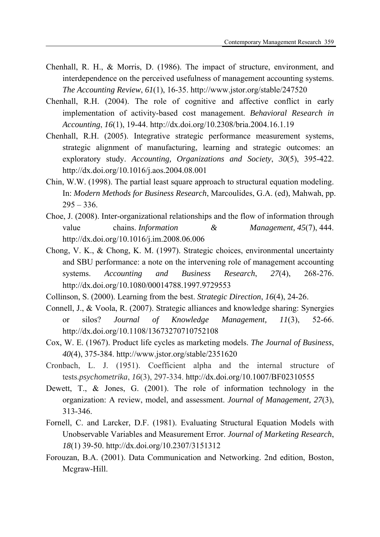- Chenhall, R. H., & Morris, D. (1986). The impact of structure, environment, and interdependence on the perceived usefulness of management accounting systems. *The Accounting Review*, *61*(1), 16-35. http://www.jstor.org/stable/247520
- Chenhall, R.H. (2004). The role of cognitive and affective conflict in early implementation of activity-based cost management. *Behavioral Research in Accounting*, *16*(1), 19-44. http://dx.doi.org/10.2308/bria.2004.16.1.19
- Chenhall, R.H. (2005). Integrative strategic performance measurement systems, strategic alignment of manufacturing, learning and strategic outcomes: an exploratory study. *Accounting, Organizations and Society*, *30*(5), 395-422. http://dx.doi.org/10.1016/j.aos.2004.08.001
- Chin, W.W. (1998). The partial least square approach to structural equation modeling. In: *Modern Methods for Business Research*, Marcoulides, G.A. (ed), Mahwah, pp.  $295 - 336.$
- Choe, J. (2008). Inter-organizational relationships and the flow of information through value chains. *Information & Management, 45*(7), 444. http://dx.doi.org/10.1016/j.im.2008.06.006
- Chong, V. K., & Chong, K. M. (1997). Strategic choices, environmental uncertainty and SBU performance: a note on the intervening role of management accounting systems. *Accounting and Business Research*, *27*(4), 268-276. http://dx.doi.org/10.1080/00014788.1997.9729553
- Collinson, S. (2000). Learning from the best. *Strategic Direction*, *16*(4), 24-26.
- Connell, J., & Voola, R. (2007). Strategic alliances and knowledge sharing: Synergies or silos? *Journal of Knowledge Management, 11*(3), 52-66. http://dx.doi.org/10.1108/13673270710752108
- Cox, W. E. (1967). Product life cycles as marketing models. *The Journal of Business*, *40*(4), 375-384. http://www.jstor.org/stable/2351620
- Cronbach, L. J. (1951). Coefficient alpha and the internal structure of tests.*psychometrika*, *16*(3), 297-334. http://dx.doi.org/10.1007/BF02310555
- Dewett, T., & Jones, G. (2001). The role of information technology in the organization: A review, model, and assessment. *Journal of Management, 27*(3), 313-346.
- Fornell, C. and Larcker, D.F. (1981). Evaluating Structural Equation Models with Unobservable Variables and Measurement Error. *Journal of Marketing Research*, *18*(1) 39-50. http://dx.doi.org/10.2307/3151312
- Forouzan, B.A. (2001). Data Communication and Networking. 2nd edition, Boston, Mcgraw-Hill.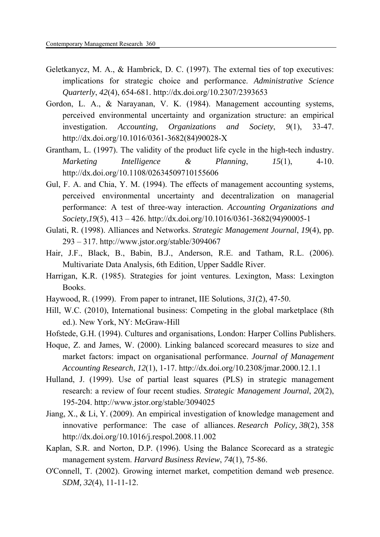- Geletkanycz, M. A., & Hambrick, D. C. (1997). The external ties of top executives: implications for strategic choice and performance. *Administrative Science Quarterly*, *42*(4), 654-681. http://dx.doi.org/10.2307/2393653
- Gordon, L. A., & Narayanan, V. K. (1984). Management accounting systems, perceived environmental uncertainty and organization structure: an empirical investigation. *Accounting, Organizations and Society*, *9*(1), 33-47. http://dx.doi.org/10.1016/0361-3682(84)90028-X
- Grantham, L. (1997). The validity of the product life cycle in the high-tech industry. *Marketing Intelligence & Planning*, *15*(1), 4-10. http://dx.doi.org/10.1108/02634509710155606
- Gul, F. A. and Chia, Y. M. (1994). The effects of management accounting systems, perceived environmental uncertainty and decentralization on managerial performance: A test of three-way interaction. *Accounting Organizations and Society*,*19*(5), 413 – 426. http://dx.doi.org/10.1016/0361-3682(94)90005-1
- Gulati, R. (1998). Alliances and Networks. *Strategic Management Journal*, *19*(4), pp. 293 – 317. http://www.jstor.org/stable/3094067
- Hair, J.F., Black, B., Babin, B.J., Anderson, R.E. and Tatham, R.L. (2006). Multivariate Data Analysis, 6th Edition, Upper Saddle River.
- Harrigan, K.R. (1985). Strategies for joint ventures. Lexington, Mass: Lexington Books.
- Haywood, R. (1999). From paper to intranet, IIE Solutions, *31*(2), 47-50.
- Hill, W.C. (2010), International business: Competing in the global marketplace (8th ed.). New York, NY: McGraw-Hill
- Hofstede, G.H. (1994). Cultures and organisations, London: Harper Collins Publishers.
- Hoque, Z. and James, W. (2000). Linking balanced scorecard measures to size and market factors: impact on organisational performance. *Journal of Management Accounting Research*, *12*(1), 1-17. http://dx.doi.org/10.2308/jmar.2000.12.1.1
- Hulland, J. (1999). Use of partial least squares (PLS) in strategic management research: a review of four recent studies. *Strategic Management Journal*, *20*(2), 195-204. http://www.jstor.org/stable/3094025
- Jiang, X., & Li, Y. (2009). An empirical investigation of knowledge management and innovative performance: The case of alliances. *Research Policy, 38*(2), 358 http://dx.doi.org/10.1016/j.respol.2008.11.002
- Kaplan, S.R. and Norton, D.P. (1996). Using the Balance Scorecard as a strategic management system. *Harvard Business Review*, *74*(1), 75-86.
- O'Connell, T. (2002). Growing internet market, competition demand web presence. *SDM, 32*(4), 11-11-12.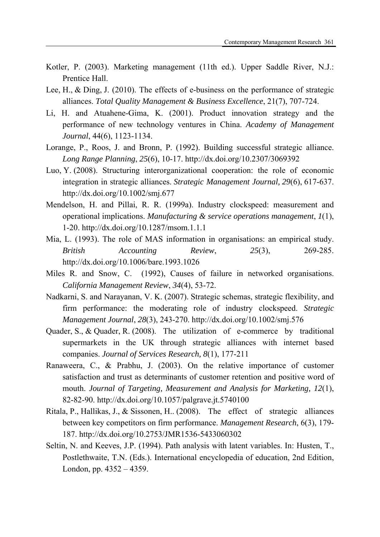- Kotler, P. (2003). Marketing management (11th ed.). Upper Saddle River, N.J.: Prentice Hall.
- Lee, H., & Ding, J. (2010). The effects of e-business on the performance of strategic alliances. *Total Quality Management & Business Excellence*, 21(7), 707-724.
- Li, H. and Atuahene-Gima, K. (2001). Product innovation strategy and the performance of new technology ventures in China. *Academy of Management Journal*, 44(6), 1123-1134.
- Lorange, P., Roos, J. and Bronn, P. (1992). Building successful strategic alliance. *Long Range Planning*, *25*(6), 10-17. http://dx.doi.org/10.2307/3069392
- Luo, Y. (2008). Structuring interorganizational cooperation: the role of economic integration in strategic alliances. *Strategic Management Journal, 29*(6), 617-637. http://dx.doi.org/10.1002/smj.677
- Mendelson, H. and Pillai, R. R. (1999a). Industry clockspeed: measurement and operational implications. *Manufacturing & service operations management*, *1*(1), 1-20. http://dx.doi.org/10.1287/msom.1.1.1
- Mia, L. (1993). The role of MAS information in organisations: an empirical study. *British Accounting Review*, *25*(3), 269-285. http://dx.doi.org/10.1006/bare.1993.1026
- Miles R. and Snow, C. (1992), Causes of failure in networked organisations. *California Management Review*, *34*(4), 53-72.
- Nadkarni, S. and Narayanan, V. K. (2007). Strategic schemas, strategic flexibility, and firm performance: the moderating role of industry clockspeed. *Strategic Management Journal*, *28*(3), 243-270. http://dx.doi.org/10.1002/smj.576
- Quader, S., & Quader, R. (2008). The utilization of e-commerce by traditional supermarkets in the UK through strategic alliances with internet based companies. *Journal of Services Research, 8*(1), 177-211
- Ranaweera, C., & Prabhu, J. (2003). On the relative importance of customer satisfaction and trust as determinants of customer retention and positive word of mouth. *Journal of Targeting, Measurement and Analysis for Marketing, 12*(1), 82-82-90. http://dx.doi.org/10.1057/palgrave.jt.5740100
- Ritala, P., Hallikas, J., & Sissonen, H.. (2008). The effect of strategic alliances between key competitors on firm performance. *Management Research*, 6(3), 179- 187. http://dx.doi.org/10.2753/JMR1536-5433060302
- Seltin, N. and Keeves, J.P. (1994). Path analysis with latent variables. In: Husten, T., Postlethwaite, T.N. (Eds.). International encyclopedia of education, 2nd Edition, London, pp.  $4352 - 4359$ .